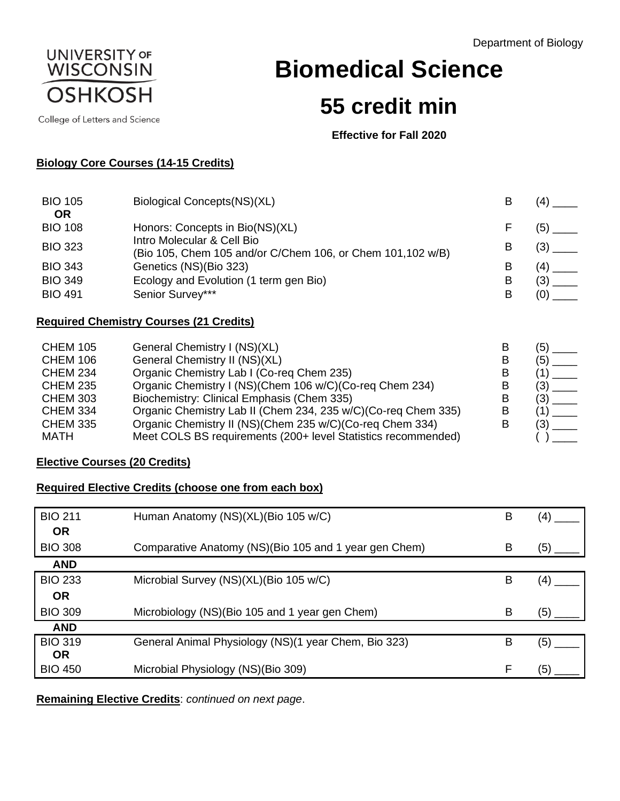Department of Biology



College of Letters and Science

**Biomedical Science**

# **55 credit min**

**Effective for Fall 2020**

## **Biology Core Courses (14-15 Credits)**

| <b>BIO 105</b>                                     | Biological Concepts(NS)(XL)                                                                                                 | B           |            |
|----------------------------------------------------|-----------------------------------------------------------------------------------------------------------------------------|-------------|------------|
| <b>OR</b><br><b>BIO 108</b><br><b>BIO 323</b>      | Honors: Concepts in Bio(NS)(XL)<br>Intro Molecular & Cell Bio<br>(Bio 105, Chem 105 and/or C/Chem 106, or Chem 101,102 w/B) | B           | (5)<br>(3) |
| <b>BIO 343</b><br><b>BIO 349</b><br><b>BIO 491</b> | Genetics (NS)(Bio 323)<br>Ecology and Evolution (1 term gen Bio)<br>Senior Survey***                                        | B<br>В<br>B | (4)<br>(3) |
|                                                    | <b>Required Chemistry Courses (21 Credits)</b>                                                                              |             |            |
| <b>CHEM 105</b><br>$C$ HEM 106                     | General Chemistry I (NS)(XL)<br>Canaral Chamietry II (NR)(YI )                                                              | B<br>R      | 5<br>(へ)   |

| UI ILIVI TUJ    | <u>UCITCIAI UITCITIISTI I ITIUMUALI</u>                       |     |
|-----------------|---------------------------------------------------------------|-----|
| <b>CHEM 106</b> | General Chemistry II (NS)(XL)                                 | (5) |
| <b>CHEM 234</b> | Organic Chemistry Lab I (Co-req Chem 235)                     |     |
| <b>CHEM 235</b> | Organic Chemistry I (NS)(Chem 106 w/C)(Co-req Chem 234)       | (3) |
| <b>CHEM 303</b> | Biochemistry: Clinical Emphasis (Chem 335)                    | (3) |
| <b>CHEM 334</b> | Organic Chemistry Lab II (Chem 234, 235 w/C)(Co-req Chem 335) |     |
| <b>CHEM 335</b> | Organic Chemistry II (NS) (Chem 235 w/C) (Co-req Chem 334)    |     |
| <b>MATH</b>     | Meet COLS BS requirements (200+ level Statistics recommended) |     |
|                 |                                                               |     |

## **Elective Courses (20 Credits)**

## **Required Elective Credits (choose one from each box)**

| <b>BIO 211</b> | Human Anatomy (NS)(XL)(Bio 105 w/C)                   | Β |     |
|----------------|-------------------------------------------------------|---|-----|
| <b>OR</b>      |                                                       |   |     |
| <b>BIO 308</b> | Comparative Anatomy (NS)(Bio 105 and 1 year gen Chem) | B | (5) |
| <b>AND</b>     |                                                       |   |     |
| <b>BIO 233</b> | Microbial Survey (NS)(XL)(Bio 105 w/C)                | B |     |
| <b>OR</b>      |                                                       |   |     |
| <b>BIO 309</b> | Microbiology (NS)(Bio 105 and 1 year gen Chem)        | В | (5  |
| <b>AND</b>     |                                                       |   |     |
| <b>BIO 319</b> | General Animal Physiology (NS)(1 year Chem, Bio 323)  | в | 5   |
| <b>OR</b>      |                                                       |   |     |
| <b>BIO 450</b> | Microbial Physiology (NS)(Bio 309)                    | F | (5  |

**Remaining Elective Credits**: *continued on next page*.